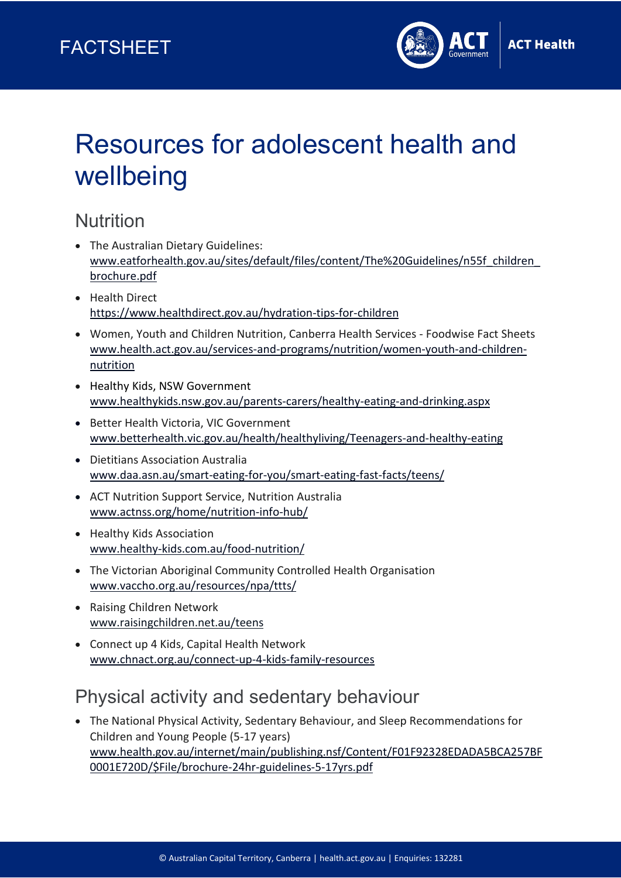

# Resources for adolescent health and wellbeing

### **Nutrition**

- The Australian Dietary Guidelines: [www.eatforhealth.gov.au/sites/default/files/content/The%20Guidelines/n55f\\_children\\_](http://www.eatforhealth.gov.au/sites/default/files/content/The%20Guidelines/n55f_children_brochure.pdf) [brochure.pdf](http://www.eatforhealth.gov.au/sites/default/files/content/The%20Guidelines/n55f_children_brochure.pdf)
- Health Direct <https://www.healthdirect.gov.au/hydration-tips-for-children>
- Women, Youth and Children Nutrition, Canberra Health Services Foodwise Fact Sheets [www.health.act.gov.au/services-and-programs/nutrition/women-youth-and-children](http://www.health.act.gov.au/services-and-programs/nutrition/women-youth-and-children-nutrition)[nutrition](http://www.health.act.gov.au/services-and-programs/nutrition/women-youth-and-children-nutrition)
- Healthy Kids, NSW Government [www.healthykids.nsw.gov.au/parents-carers/healthy-eating-and-drinking.aspx](http://www.healthykids.nsw.gov.au/parents-carers/healthy-eating-and-drinking.aspx)
- Better Health Victoria, VIC Government [www.betterhealth.vic.gov.au/health/healthyliving/Teenagers-and-healthy-eating](http://www.betterhealth.vic.gov.au/health/healthyliving/Teenagers-and-healthy-eating)
- Dietitians Association Australia [www.daa.asn.au/smart-eating-for-you/smart-eating-fast-facts/teens/](http://www.daa.asn.au/smart-eating-for-you/smart-eating-fast-facts/teens/)
- ACT Nutrition Support Service, Nutrition Australia [www.actnss.org/home/nutrition-info-hub/](http://www.actnss.org/home/nutrition-info-hub/)
- Healthy Kids Association [www.healthy-kids.com.au/food-nutrition/](http://www.healthy-kids.com.au/food-nutrition/)
- The Victorian Aboriginal Community Controlled Health Organisation [www.vaccho.org.au/resources/npa/ttts/](http://www.vaccho.org.au/resources/npa/ttts/)
- Raising Children Network [www.raisingchildren.net.au/teens](http://www.raisingchildren.net.au/teens)
- Connect up 4 Kids, Capital Health Network [www.chnact.org.au/connect-up-4-kids-family-resources](http://www.chnact.org.au/connect-up-4-kids-family-resources)

# Physical activity and sedentary behaviour

• The National Physical Activity, Sedentary Behaviour, and Sleep Recommendations for Children and Young People (5-17 years) [www.health.gov.au/internet/main/publishing.nsf/Content/F01F92328EDADA5BCA257BF](http://www.health.gov.au/internet/main/publishing.nsf/Content/F01F92328EDADA5BCA257BF0001E720D/$File/brochure-24hr-guidelines-5-17yrs.pdf) [0001E720D/\\$File/brochure-24hr-guidelines-5-17yrs.pdf](http://www.health.gov.au/internet/main/publishing.nsf/Content/F01F92328EDADA5BCA257BF0001E720D/$File/brochure-24hr-guidelines-5-17yrs.pdf)